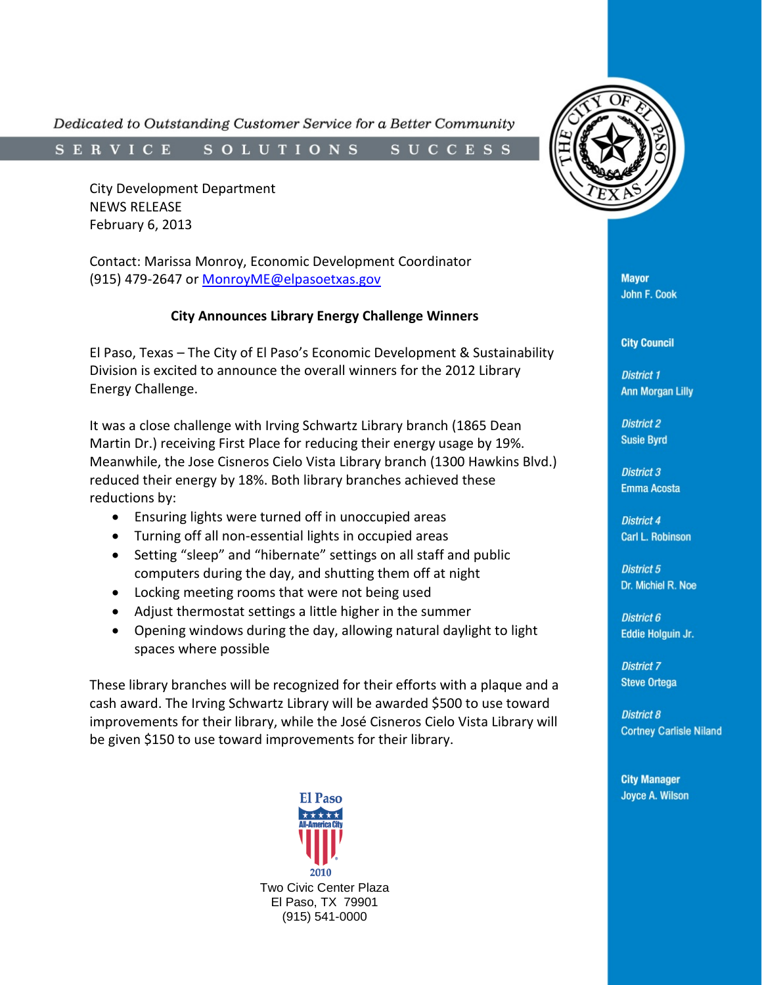Dedicated to Outstanding Customer Service for a Better Community

SOLUTIONS SUCCESS **SERVICE** 

City Development Department NEWS RELEASE February 6, 2013

Contact: Marissa Monroy, Economic Development Coordinator (915) 479-2647 or [MonroyME@elpasoetxas.gov](mailto:MonroyME@elpasoetxas.gov)

## **City Announces Library Energy Challenge Winners**

El Paso, Texas – The City of El Paso's Economic Development & Sustainability Division is excited to announce the overall winners for the 2012 Library Energy Challenge.

It was a close challenge with Irving Schwartz Library branch (1865 Dean Martin Dr.) receiving First Place for reducing their energy usage by 19%. Meanwhile, the Jose Cisneros Cielo Vista Library branch (1300 Hawkins Blvd.) reduced their energy by 18%. Both library branches achieved these reductions by:

- Ensuring lights were turned off in unoccupied areas
- Turning off all non-essential lights in occupied areas
- Setting "sleep" and "hibernate" settings on all staff and public computers during the day, and shutting them off at night
- Locking meeting rooms that were not being used
- Adjust thermostat settings a little higher in the summer
- Opening windows during the day, allowing natural daylight to light spaces where possible

These library branches will be recognized for their efforts with a plaque and a cash award. The Irving Schwartz Library will be awarded \$500 to use toward improvements for their library, while the José Cisneros Cielo Vista Library will be given \$150 to use toward improvements for their library.





**Mayor John F. Cook** 

**City Council** 

**District 1 Ann Morgan Lilly** 

**District 2 Susie Byrd** 

**District 3 Emma Acosta** 

**District 4 Carl L. Robinson** 

**District 5** Dr. Michiel R. Noe

District 6 Eddie Holguin Jr.

**District 7 Steve Ortega** 

**District 8 Cortney Carlisle Niland** 

**City Manager Joyce A. Wilson**